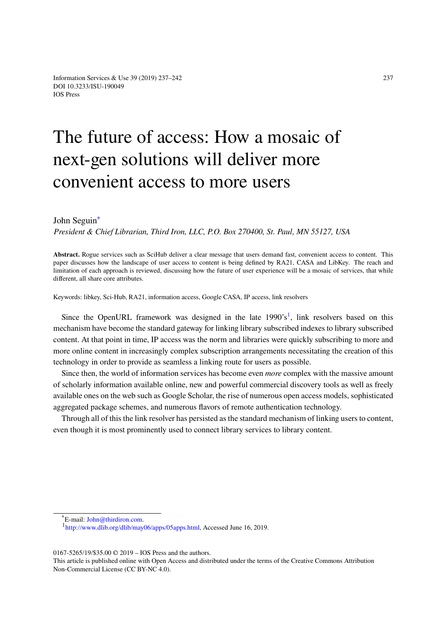## The future of access: How a mosaic of next-gen solutions will deliver more convenient access to more users

## John Seguin<sup>∗</sup>

*President & Chief Librarian, Third Iron, LLC, P.O. Box 270400, St. Paul, MN 55127, USA*

**Abstract.** Rogu[e](#page-0-0) services such as SciHub deliver a clear message that users demand fast, convenient access to content. This paper discusses how the landscape of user access to content is being defined by RA21, CASA and LibKey. The reach and limitation of each approach is reviewed, discussing how the future of user experience will be a mosaic of services, that while different, all share core attributes.

Keywords: libkey, Sci-Hub, RA21, information access, Google CASA, IP access, link resolvers

Since the OpenURL framework was designed in the late  $1990's<sup>1</sup>$ , link resolvers based on this mechanism have become the standard gateway for linking library subscribed indexes to library subscribed content. At that point in time, IP access was the norm and libraries were quickly subscribing to more and more online content in increasingly complex subscription arrangements [n](#page-0-1)ecessitating the creation of this technology in order to provide as seamless a linking route for users as possible.

Since then, the world of information services has become even *more* complex with the massive amount of scholarly information available online, new and powerful commercial discovery tools as well as freely available ones on the web such as Google Scholar, the rise of numerous open access models, sophisticated aggregated package schemes, and numerous flavors of remote authentication technology.

Through all of this the link resolver has persisted as the standard mechanism of linking users to content, even though it is most prominently used to connect library services to library content.

0167-5265/19/\$35.00 © 2019 – IOS Press and the authors.

<span id="page-0-1"></span><span id="page-0-0"></span>This article [is published online w](mailto:John@thirdiron.com)ith Open Access and distributed under the terms of the Creative Commons Attribution Non[-Commercial License \(CC BY-NC 4.0\).](http://www.dlib.org/dlib/may06/apps/05apps.html)

<sup>\*</sup>E-mail: John@thirdiron.com.

<sup>1</sup> http://www.dlib.org/dlib/may06/apps/05apps.html, Accessed June 16, 2019.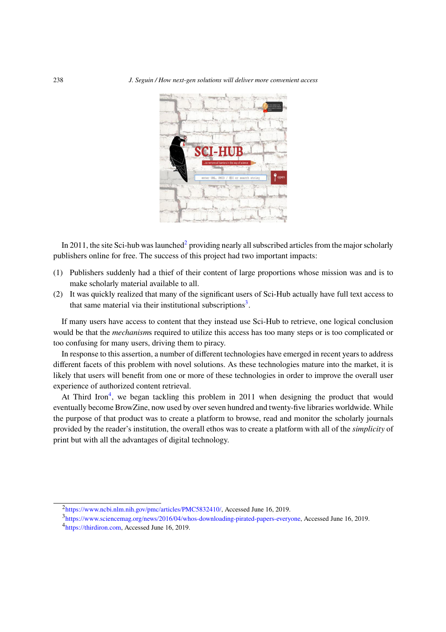

In 2011, the site Sci-hub was launched<sup>2</sup> providing nearly all subscribed articles from the major scholarly publishers online for free. The success of this project had two important impacts:

- (1) Publishers suddenly had a thief of their content of large proportions whose mission was and is to make scholarly material available t[o](#page-1-0) all.
- (2) It was quickly realized that many of the significant users of Sci-Hub actually have full text access to that same material via their institutional subscriptions<sup>3</sup>.

If many users have access to content that they instead use Sci-Hub to retrieve, one logical conclusion would be that the *mechanism*s required to utilize this access has too many steps or is too complicated or too confusing for many users, driving them to piracy.

In response to this assertion, a number of different technologies have emerged in recent years to address different facets of this problem with novel solutions. As these technologies mature into the market, it is likely that users will benefit from one or more of these technologies in order to improve the overall user experience of authorized content retrieval.

At Third Iron<sup>4</sup>, we began tackling this problem in 2011 when designing the product that would eventually become BrowZine, now used by over seven hundred and twenty-five libraries worldwide. While the purpose of that product was to create a platform to browse, read and monitor the scholarly journals provided by the r[e](#page-1-1)ader's institution, the overall ethos was to create a platform with all of the *simplicity* of print but with all the advantages of digital technology.

<span id="page-1-1"></span><span id="page-1-0"></span><sup>3</sup>https://www.sciencemag.org/news/2016/04/whos-downloading-pirated-papers-everyone, Accessed June 16, 2019.

<sup>&</sup>lt;sup>2</sup>https://www.ncbi.nlm.nih.gov/pmc/articles/PMC5832410/, Accessed June 16, 2019.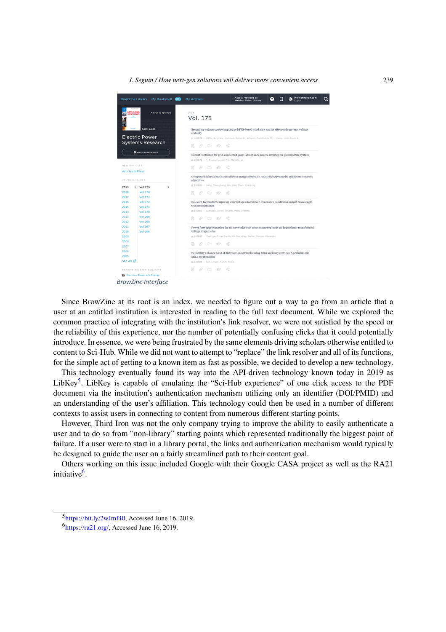*J. Seguin / How next-gen solutions will deliver more convenient access* 239



**BrowZine Interface** 

Since BrowZine at its root is an index, we needed to figure out a way to go from an article that a user at an entitled institution is interested in reading to the full text document. While we explored the common practice of integrating with the institution's link resolver, we were not satisfied by the speed or the reliability of this experience, nor the number of potentially confusing clicks that it could potentially introduce. In essence, we were being frustrated by the same elements driving scholars otherwise entitled to content to Sci-Hub. While we did not want to attempt to "replace" the link resolver and all of its functions, for the simple act of getting to a known item as fast as possible, we decided to develop a new technology.

This technology eventually found its way into the API-driven technology known today in 2019 as LibKey<sup>5</sup>. LibKey is capable of emulating the "Sci-Hub experience" of one click access to the PDF document via the institution's authentication mechanism utilizing only an identifier (DOI/PMID) and an understanding of the user's affiliation. This technology could then be used in a number of different contexts to assist users in connecting to content from numerous different starting points.

How[ev](#page-2-0)er, Third Iron was not the only company trying to improve the ability to easily authenticate a user and to do so from "non-library" starting points which represented traditionally the biggest point of failure. If a user were to start in a library portal, the links and authentication mechanism would typically be designed to guide the user on a fairly streamlined path to their content goal.

Others working on this issue included Google with their Google CASA project as well as the RA21 initiative<sup>6</sup>.

<sup>&</sup>lt;sup>5</sup>https://bit.ly/2wJmf40, Accessed June 16, 2019.

<span id="page-2-0"></span><sup>&</sup>lt;sup>6</sup>https://ra21.org/, Accessed June 16, 2019.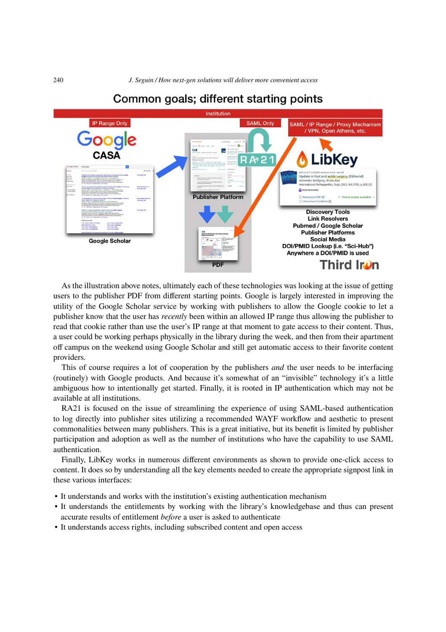

## Common goals; different starting points

As the illustration above notes, ultimately each of these technologies was looking at the issue of getting users to the publisher PDF from different starting points. Google is largely interested in improving the utility of the Google Scholar service by working with publishers to allow the Google cookie to let a publisher know that the user has *recently* been within an allowed IP range thus allowing the publisher to read that cookie rather than use the user's IP range at that moment to gate access to their content. Thus, a user could be working perhaps physically in the library during the week, and then from their apartment off campus on the weekend using Google Scholar and still get automatic access to their favorite content providers.

This of course requires a lot of cooperation by the publishers *and* the user needs to be interfacing (routinely) with Google products. And because it's somewhat of an "invisible" technology it's a little ambiguous how to intentionally get started. Finally, it is rooted in IP authentication which may not be available at all institutions.

RA21 is focused on the issue of streamlining the experience of using SAML-based authentication to log directly into publisher sites utilizing a recommended WAYF workflow and aesthetic to present commonalities between many publishers. This is a great initiative, but its benefit is limited by publisher participation and adoption as well as the number of institutions who have the capability to use SAML authentication.

Finally, LibKey works in numerous different environments as shown to provide one-click access to content. It does so by understanding all the key elements needed to create the appropriate signpost link in these various interfaces:

- It understands and works with the institution's existing authentication mechanism
- It understands the entitlements by working with the library's knowledgebase and thus can present accurate results of entitlement *before* a user is asked to authenticate
- It understands access rights, including subscribed content and open access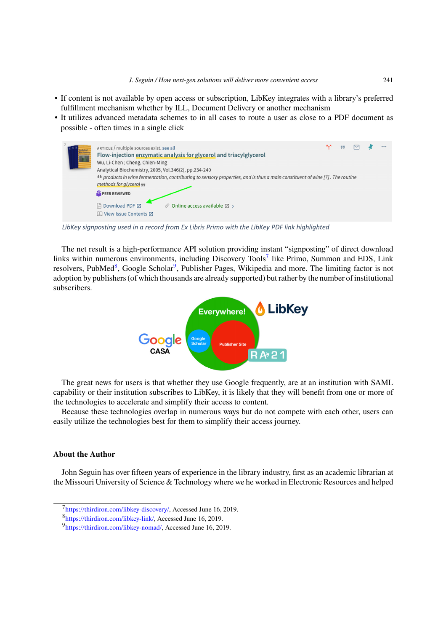- If content is not available by open access or subscription, LibKey integrates with a library's preferred fulfillment mechanism whether by ILL, Document Delivery or another mechanism
- It utilizes advanced metadata schemes to in all cases to route a user as close to a PDF document as possible - often times in a single click



LibKey signposting used in a record from Ex Libris Primo with the LibKey PDF link highlighted

The net result is a high-performance API solution providing instant "signposting" of direct download links within numerous environments, including Discovery Tools<sup>7</sup> like Primo, Summon and EDS, Link resolvers, PubMed<sup>8</sup>, Google Scholar<sup>9</sup>, Publisher Pages, Wikipedia and more. The limiting factor is not adoption by publishers (of which thousands are already supported) but rather by the number of institutional subscribers.



The great news for users is that whether they use Google frequently, are at an institution with SAML capability or their institution subscribes to LibKey, it is likely that they will benefit from one or more of the technologies to accelerate and simplify their access to content.

Because these technologies overlap in numerous ways but do not compete with each other, users can easily utilize the technologies best for them to simplify their access journey.

## **About the Author**

John Seguin has over fifteen years of experience in the library industry, first as an academic librarian at the Missouri University of Science & Technology where we he worked in Electronic Resources and helped

<sup>7</sup> https://thirdiron.com/libkey-discovery/, Accessed June 16, 2019.

<sup>8</sup> https://thirdiron.com/libkey-link/, Accessed June 16, 2019.

<sup>&</sup>lt;sup>9</sup>https://thirdiron.com/libkey-nomad/, Accessed June 16, 2019.